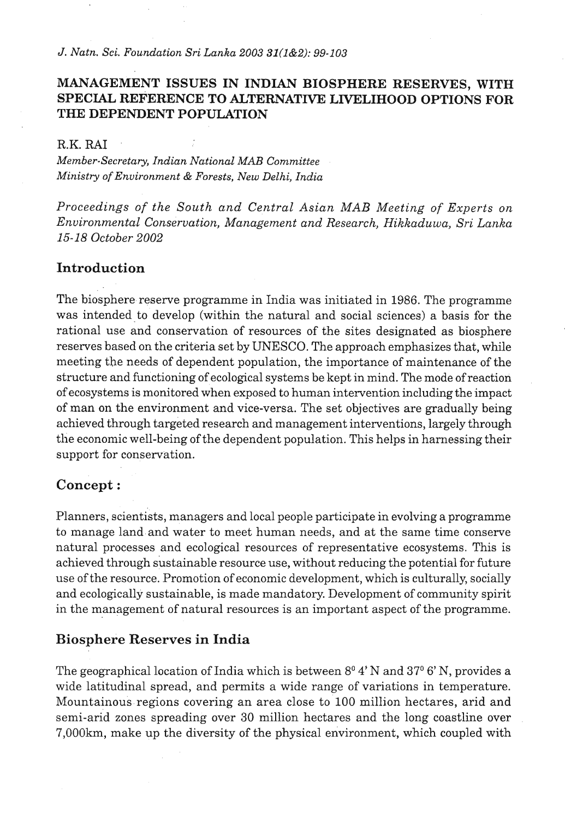### **MANAGEMENT ISSUES IN INDIAN BIOSPHERE RESERVES, WITH SPECIAL REFERENCE TO ALTERNATIVE LIVELIHOOD OPTIONS FOR THE DEPENDENT POPULATION**

#### *R.K. RAI*

*Member-Secretary, Indian National MAB Committee Ministry of Environment* & *Forests, New Delhi, India* 

*Proceedings of the South and Central Asian MAB Meeting of Experts on Environmental Conservation, Management and Research, Hikkaduwa, Sri Lanka 15-18 October 2002* 

### **Introduction**

The biosphere reserve programme in India was initiated in 1986. The programme was intended to develop (within the natural and social sciences) a basis for the rational use and conservation of resources of the sites designated as biosphere reserves based on the criteria set by UNESCO. The approach emphasizes that, while meeting the needs of dependent population, the importance of maintenance of the structure and functioning of ecological systems be kept in mind. The mode ofreaction of ecosystems is monitored when exposed to human intervention including the impact of man on the environment and vice-versa. The set objectives are gradually being achieved through targeted research and management interventions, largely through the economic well-being of the dependent population. This helps in harnessing their support for conservation.

#### **Concept** :

Planners, scientists, managers and local people participate in evolving a programme to manage land and water to meet human needs, and at the same time conserve natural processes and ecological resources of representative ecosystems. This is achieved through sustainable resource use, without reducing the potential for future use of the resource. Promotion of economic development, which is culturally, socially and ecologically sustainable, is made mandatory. Development of community spirit in the management of natural resources is an important aspect of the programme.

#### **Biosphere Reserves in India**

The geographical location of India which is between  $8^{\circ}4'$  N and  $37^{\circ}6'$  N, provides a wide latitudinal spread, and permits a wide range of variations in temperature. Mountainous regions covering an area close to 100 million hectares, arid and semi-arid zones spreading over 30 million hectares and the long coastline over 7,000km, make up the diversity of the physical environment, which coupled with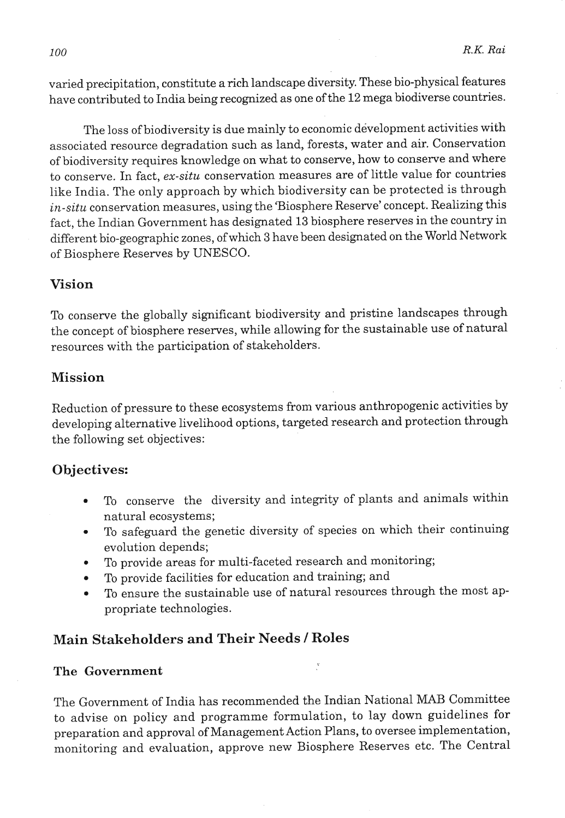varied precipitation, constitute a rich landscape diversity. These bio-physical features have contributed to India being recognized as one of the 12 mega biodiverse countries.

The loss of biodiversity is due mainly to economic development activities with associated resource degradation such as land, forests, water and air. Conservation of biodiversity requires knowledge on what to conserve, how to conserve and where to conserve. In fact, *ex-situ* conservation measures are of little value for countries like India. The only approach by which biodiversity can be protected is through *in-situ* conservation measures, using the 'Biosphere Reserve' concept. Realizing this fact, the Indian Government has designated **13** biosphere reserves in the country in different bio-geographic zones, of which **3** have been designated on the World Network of Biosphere Reserves by UNESCO.

## **Vision**

To conserve the globally significant biodiversity and pristine landscapes through the concept of biosphere reserves, while allowing for the sustainable use of natural resources with the participation of stakeholders.

### **Mission**

Reduction of pressure to these ecosystems from various anthropogenic activities by developing alternative livelihood options, targeted research and protection through the following set objectives:

## **Objectives:**

- To conserve the diversity and integrity of plants and animals within  $\bullet$ natural ecosystems;
- To safeguard the genetic diversity of species on which their continuing  $\bullet$ evolution depends;
- To provide areas for multi-faceted research and monitoring;  $\bullet$  .
- To provide facilities for education and training; **and**   $\bullet$
- To ensure the sustainable use of natural resources through the most ap- $\bullet$ propriate technologies.

# **Main Stakeholders and Their Needs** 1 **Roles**

### **The Government**

The Government of India has recommended the Indian National **MAB** Committee to advise on policy and programme formulation, to lay down guidelines for preparation and approval of Management Action Plans, to oversee implementation, monitoring and evaluation, approve new Biosphere Reserves etc. The Central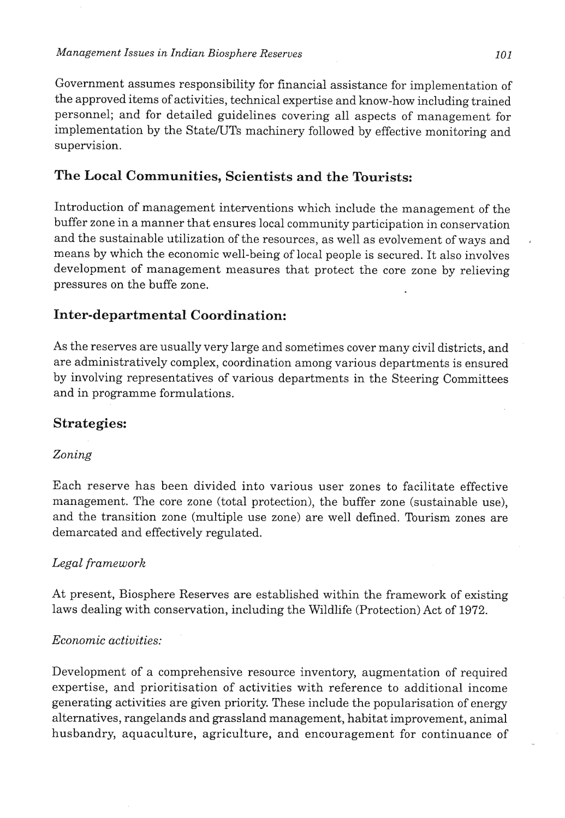Government assumes responsibility for financial assistance for implementation of the approved items of activities, technical expertise and know-how including trained personnel; and for detailed guidelines covering all aspects of management for implementation by the State/UTs machinery followed by effective monitoring and supervision.

## **The Local Communities, Scientists and the Tourists:**

Introduction of management interventions which include the management of the buffer zone in a manner that ensures local community participation in conservation and the sustainable utilization of the resources, as well as evolvement of ways and means by which the economic well-being of local people is secured. It also involves development of management measures that protect the core zone by relieving pressures on the buffe zone.

## **Inter-departmental Coordination:**

As the reserves are usually very large and sometimes cover many civil districts, and are administratively complex, coordination among various departments is ensured by involving representatives of various departments in the Steering Committees and in programme formulations.

### **Strategies:**

#### Zoning

Each reserve has been divided into various user zones to facilitate effective management. The core zone (total protection), the buffer zone (sustainable use), and the transition zone (multiple use zone) are well defined. Tourism zones are demarcated and effectively regulated.

#### Legal framework

At present, Biosphere Reserves are established within the framework of existing laws dealing with conservation, including the Wildlife (Protection) Act of 1972.

#### Economic activities:

Development of a comprehensive resource inventory, augmentation of required expertise, and prioritisation of activities with reference to additional income generating activities are given priority. These include the popularisation of energy alternatives, rangelands and grassland management, habitat improvement, animal husbandry, aquaculture, agriculture, and encouragement for continuance of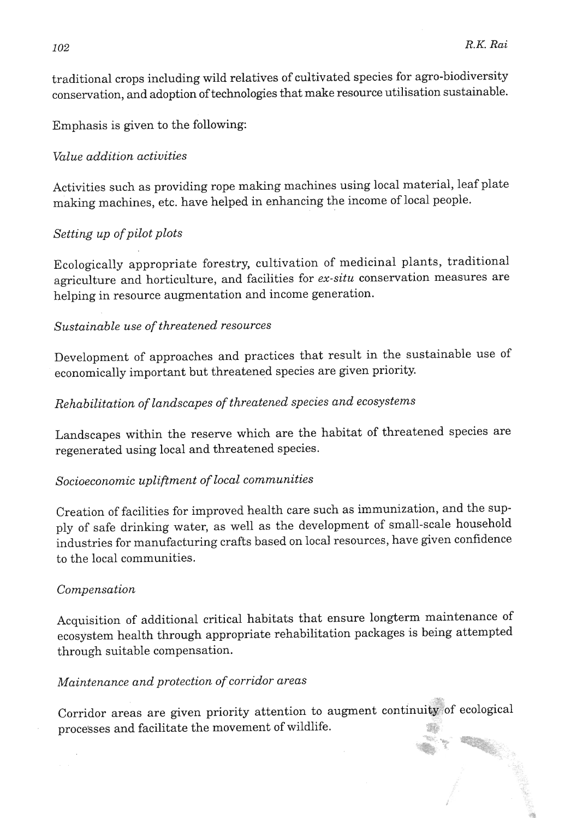traditional crops including wild relatives of cultivated species for agro-biodiversity conservation, and adoption of technologies that make resource utilisation sustainable.

Emphasis is given to the following:

### *Value addition activities*

Activities such as providing rope making machines using local material, leaf plate making machines, etc. have helped in enhancing the income of local people.

## *Setting up of pilot plots*

Ecologically appropriate forestry, cultivation of medicinal plants, traditional agriculture and horticulture, and facilities for *ex-situ* conservation measures are helping in resource augmentation and income generation.

## *Sustainable use of threatened resources*

Development of approaches and practices that result in the sustainable use of economically important but threatened species are given priority.

# *Rehabilitation of landscapes of threatened species and ecosystems*

Landscapes within the reserve which are the habitat of threatened species are regenerated using local and threatened species.

## *Socioeconomic upliftment of local communities*

Creation of facilities for improved health care such as immunization, and the supply of safe drinking water, as well as the development of small-scale household industries for manufacturing crafts based on local resources, have given confidence to the local communities.

### *Compensation*

Acquisition of additional critical habitats that ensure longterm maintenance of ecosystem health through appropriate rehabilitation packages is being attempted through suitable compensation.

## *Maintenance and protection of corridor areas*

Corridor areas are given priority attention to augment continuity of ecological processes and facilitate the movement of wildlife.

**r,** "(